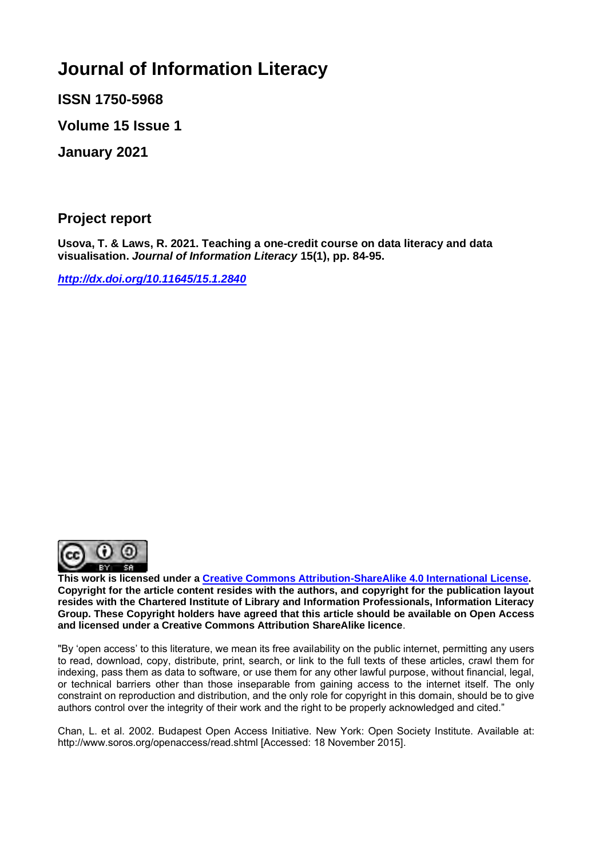# **Journal of Information Literacy**

**ISSN 1750-5968**

**Volume 15 Issue 1**

**January 2021**

**Project report** 

**Usova, T. & Laws, R. 2021. Teaching a one-credit course on data literacy and data visualisation.** *Journal of Information Literacy* **15(1), pp. 84-95.**

*<http://dx.doi.org/10.11645/15.1.2840>*



**This work is licensed under a [Creative Commons Attribution-ShareAlike 4.0 International License.](http://creativecommons.org/licenses/by-sa/4.0/) Copyright for the article content resides with the authors, and copyright for the publication layout resides with the Chartered Institute of Library and Information Professionals, Information Literacy Group. These Copyright holders have agreed that this article should be available on Open Access and licensed under a Creative Commons Attribution ShareAlike licence**.

"By 'open access' to this literature, we mean its free availability on the public internet, permitting any users to read, download, copy, distribute, print, search, or link to the full texts of these articles, crawl them for indexing, pass them as data to software, or use them for any other lawful purpose, without financial, legal, or technical barriers other than those inseparable from gaining access to the internet itself. The only constraint on reproduction and distribution, and the only role for copyright in this domain, should be to give authors control over the integrity of their work and the right to be properly acknowledged and cited."

Chan, L. et al. 2002. Budapest Open Access Initiative. New York: Open Society Institute. Available at: http://www.soros.org/openaccess/read.shtml [Accessed: 18 November 2015].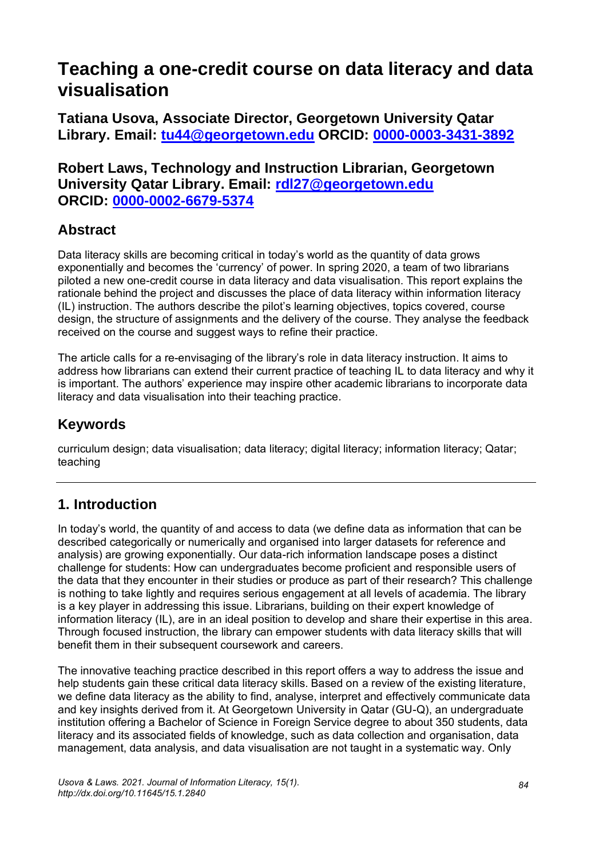# **Teaching a one-credit course on data literacy and data visualisation**

**Tatiana Usova, Associate Director, Georgetown University Qatar Library. Email: [tu44@georgetown.edu](mailto:tu44@georgetown.edu) ORCID: [0000-0003-3431-3892](https://orcid.org/0000-0003-3431-3892)**

#### **Robert Laws, Technology and Instruction Librarian, Georgetown University Qatar Library. Email: [rdl27@georgetown.edu](mailto:rdl27@georgetown.edu) ORCID: [0000-0002-6679-5374](https://orcid.org/0000-0002-6679-5374)**

## **Abstract**

Data literacy skills are becoming critical in today's world as the quantity of data grows exponentially and becomes the 'currency' of power. In spring 2020, a team of two librarians piloted a new one-credit course in data literacy and data visualisation. This report explains the rationale behind the project and discusses the place of data literacy within information literacy (IL) instruction. The authors describe the pilot's learning objectives, topics covered, course design, the structure of assignments and the delivery of the course. They analyse the feedback received on the course and suggest ways to refine their practice.

The article calls for a re-envisaging of the library's role in data literacy instruction. It aims to address how librarians can extend their current practice of teaching IL to data literacy and why it is important. The authors' experience may inspire other academic librarians to incorporate data literacy and data visualisation into their teaching practice.

## **Keywords**

curriculum design; data visualisation; data literacy; digital literacy; information literacy; Qatar; teaching

### **1. Introduction**

In today's world, the quantity of and access to data (we define data as information that can be described categorically or numerically and organised into larger datasets for reference and analysis) are growing exponentially. Our data-rich information landscape poses a distinct challenge for students: How can undergraduates become proficient and responsible users of the data that they encounter in their studies or produce as part of their research? This challenge is nothing to take lightly and requires serious engagement at all levels of academia. The library is a key player in addressing this issue. Librarians, building on their expert knowledge of information literacy (IL), are in an ideal position to develop and share their expertise in this area. Through focused instruction, the library can empower students with data literacy skills that will benefit them in their subsequent coursework and careers.

The innovative teaching practice described in this report offers a way to address the issue and help students gain these critical data literacy skills. Based on a review of the existing literature, we define data literacy as the ability to find, analyse, interpret and effectively communicate data and key insights derived from it. At Georgetown University in Qatar (GU-Q), an undergraduate institution offering a Bachelor of Science in Foreign Service degree to about 350 students, data literacy and its associated fields of knowledge, such as data collection and organisation, data management, data analysis, and data visualisation are not taught in a systematic way. Only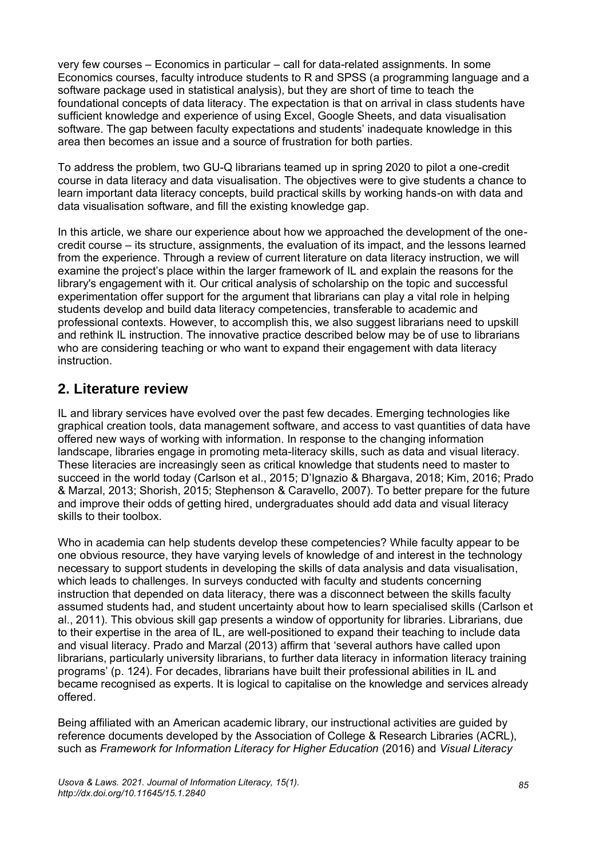very few courses – Economics in particular – call for data-related assignments. In some Economics courses, faculty introduce students to R and SPSS (a programming language and a software package used in statistical analysis), but they are short of time to teach the foundational concepts of data literacy. The expectation is that on arrival in class students have sufficient knowledge and experience of using Excel, Google Sheets, and data visualisation software. The gap between faculty expectations and students' inadequate knowledge in this area then becomes an issue and a source of frustration for both parties.

To address the problem, two GU-Q librarians teamed up in spring 2020 to pilot a one-credit course in data literacy and data visualisation. The objectives were to give students a chance to learn important data literacy concepts, build practical skills by working hands-on with data and data visualisation software, and fill the existing knowledge gap.

In this article, we share our experience about how we approached the development of the onecredit course – its structure, assignments, the evaluation of its impact, and the lessons learned from the experience. Through a review of current literature on data literacy instruction, we will examine the project's place within the larger framework of IL and explain the reasons for the library's engagement with it. Our critical analysis of scholarship on the topic and successful experimentation offer support for the argument that librarians can play a vital role in helping students develop and build data literacy competencies, transferable to academic and professional contexts. However, to accomplish this, we also suggest librarians need to upskill and rethink IL instruction. The innovative practice described below may be of use to librarians who are considering teaching or who want to expand their engagement with data literacy instruction.

### **2. Literature review**

IL and library services have evolved over the past few decades. Emerging technologies like graphical creation tools, data management software, and access to vast quantities of data have offered new ways of working with information. In response to the changing information landscape, libraries engage in promoting meta-literacy skills, such as data and visual literacy. These literacies are increasingly seen as critical knowledge that students need to master to succeed in the world today (Carlson et al., 2015; D'Ignazio & Bhargava, 2018; Kim, 2016; Prado & Marzal, 2013; Shorish, 2015; Stephenson & Caravello, 2007). To better prepare for the future and improve their odds of getting hired, undergraduates should add data and visual literacy skills to their toolbox.

Who in academia can help students develop these competencies? While faculty appear to be one obvious resource, they have varying levels of knowledge of and interest in the technology necessary to support students in developing the skills of data analysis and data visualisation, which leads to challenges. In surveys conducted with faculty and students concerning instruction that depended on data literacy, there was a disconnect between the skills faculty assumed students had, and student uncertainty about how to learn specialised skills (Carlson et al., 2011). This obvious skill gap presents a window of opportunity for libraries. Librarians, due to their expertise in the area of IL, are well-positioned to expand their teaching to include data and visual literacy. Prado and Marzal (2013) affirm that 'several authors have called upon librarians, particularly university librarians, to further data literacy in information literacy training programs' (p. 124). For decades, librarians have built their professional abilities in IL and became recognised as experts. It is logical to capitalise on the knowledge and services already offered.

Being affiliated with an American academic library, our instructional activities are guided by reference documents developed by the Association of College & Research Libraries (ACRL), such as *Framework for Information Literacy for Higher Education* (2016) and *Visual Literacy*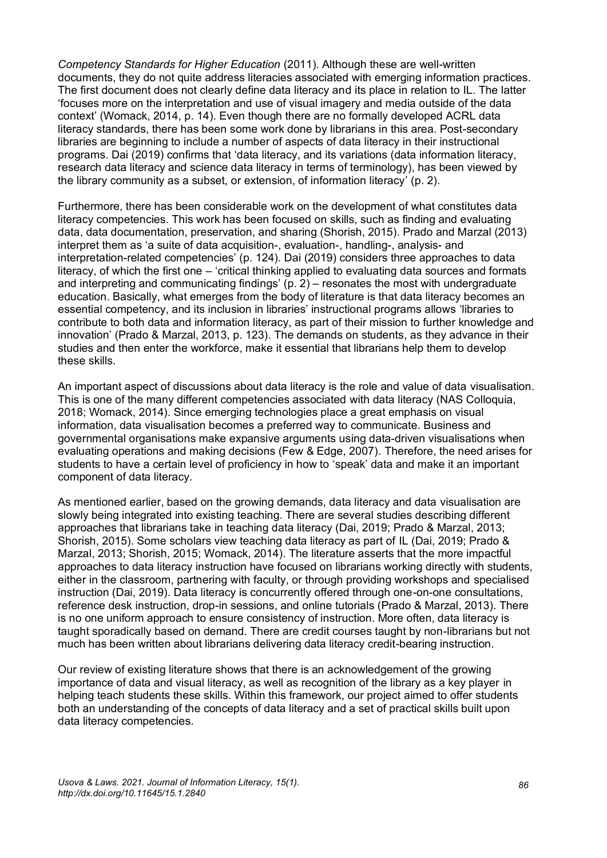*Competency Standards for Higher Education* (2011). Although these are well-written documents, they do not quite address literacies associated with emerging information practices. The first document does not clearly define data literacy and its place in relation to IL. The latter 'focuses more on the interpretation and use of visual imagery and media outside of the data context' (Womack, 2014, p. 14). Even though there are no formally developed ACRL data literacy standards, there has been some work done by librarians in this area. Post-secondary libraries are beginning to include a number of aspects of data literacy in their instructional programs. Dai (2019) confirms that 'data literacy, and its variations (data information literacy, research data literacy and science data literacy in terms of terminology), has been viewed by the library community as a subset, or extension, of information literacy' (p. 2).

Furthermore, there has been considerable work on the development of what constitutes data literacy competencies. This work has been focused on skills, such as finding and evaluating data, data documentation, preservation, and sharing (Shorish, 2015). Prado and Marzal (2013) interpret them as 'a suite of data acquisition-, evaluation-, handling-, analysis- and interpretation-related competencies' (p. 124). Dai (2019) considers three approaches to data literacy, of which the first one – 'critical thinking applied to evaluating data sources and formats and interpreting and communicating findings' (p. 2) – resonates the most with undergraduate education. Basically, what emerges from the body of literature is that data literacy becomes an essential competency, and its inclusion in libraries' instructional programs allows 'libraries to contribute to both data and information literacy, as part of their mission to further knowledge and innovation' [\(Prado & Marzal, 2013, p. 123\).](https://www.zotero.org/google-docs/?1ejahw) The demands on students, as they advance in their studies and then enter the workforce, make it essential that librarians help them to develop these skills.

An important aspect of discussions about data literacy is the role and value of data visualisation. This is one of the many different competencies associated with data literacy (NAS Colloquia, 2018; Womack, 2014). Since emerging technologies place a great emphasis on visual information, data visualisation becomes a preferred way to communicate. Business and governmental organisations make expansive arguments using data-driven visualisations when evaluating operations and making decisions (Few & Edge, 2007). Therefore, the need arises for students to have a certain level of proficiency in how to 'speak' data and make it an important component of data literacy.

As mentioned earlier, based on the growing demands, data literacy and data visualisation are slowly being integrated into existing teaching. There are several studies describing different approaches that librarians take in teaching data literacy (Dai, 2019; Prado & Marzal, 2013; Shorish, 2015). Some scholars view teaching data literacy as part of IL (Dai, 2019; Prado & Marzal, 2013; Shorish, 2015; Womack, 2014). The literature asserts that the more impactful approaches to data literacy instruction have focused on librarians working directly with students, either in the classroom, partnering with faculty, or through providing workshops and specialised instruction (Dai, 2019). Data literacy is concurrently offered through one-on-one consultations, reference desk instruction, drop-in sessions, and online tutorials (Prado & Marzal, 2013). There is no one uniform approach to ensure consistency of instruction. More often, data literacy is taught sporadically based on demand. There are credit courses taught by non-librarians but not much has been written about librarians delivering data literacy credit-bearing instruction.

Our review of existing literature shows that there is an acknowledgement of the growing importance of data and visual literacy, as well as recognition of the library as a key player in helping teach students these skills. Within this framework, our project aimed to offer students both an understanding of the concepts of data literacy and a set of practical skills built upon data literacy competencies.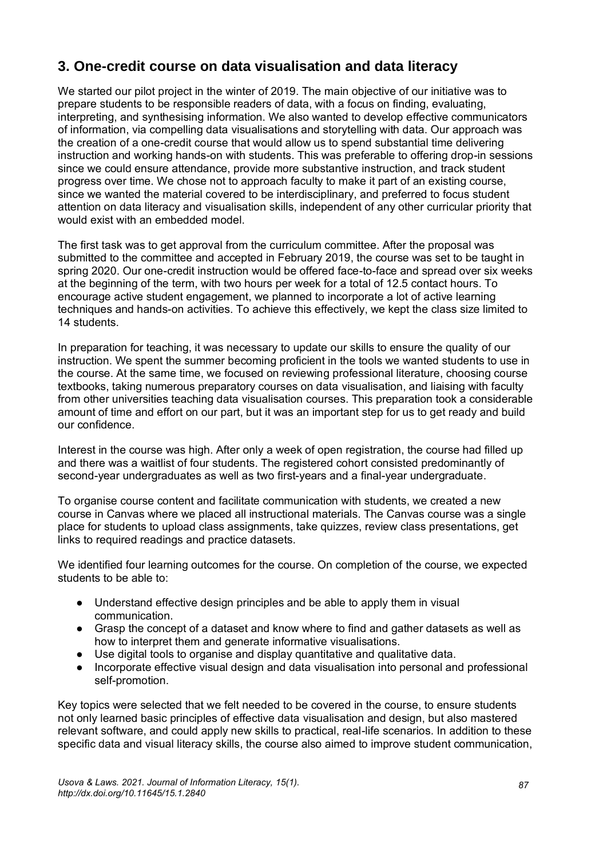## **3. One-credit course on data visualisation and data literacy**

We started our pilot project in the winter of 2019. The main objective of our initiative was to prepare students to be responsible readers of data, with a focus on finding, evaluating, interpreting, and synthesising information. We also wanted to develop effective communicators of information, via compelling data visualisations and storytelling with data. Our approach was the creation of a one-credit course that would allow us to spend substantial time delivering instruction and working hands-on with students. This was preferable to offering drop-in sessions since we could ensure attendance, provide more substantive instruction, and track student progress over time. We chose not to approach faculty to make it part of an existing course, since we wanted the material covered to be interdisciplinary, and preferred to focus student attention on data literacy and visualisation skills, independent of any other curricular priority that would exist with an embedded model.

The first task was to get approval from the curriculum committee. After the proposal was submitted to the committee and accepted in February 2019, the course was set to be taught in spring 2020. Our one-credit instruction would be offered face-to-face and spread over six weeks at the beginning of the term, with two hours per week for a total of 12.5 contact hours. To encourage active student engagement, we planned to incorporate a lot of active learning techniques and hands-on activities. To achieve this effectively, we kept the class size limited to 14 students.

In preparation for teaching, it was necessary to update our skills to ensure the quality of our instruction. We spent the summer becoming proficient in the tools we wanted students to use in the course. At the same time, we focused on reviewing professional literature, choosing course textbooks, taking numerous preparatory courses on data visualisation, and liaising with faculty from other universities teaching data visualisation courses. This preparation took a considerable amount of time and effort on our part, but it was an important step for us to get ready and build our confidence.

Interest in the course was high. After only a week of open registration, the course had filled up and there was a waitlist of four students. The registered cohort consisted predominantly of second-year undergraduates as well as two first-years and a final-year undergraduate.

To organise course content and facilitate communication with students, we created a new course in Canvas where we placed all instructional materials. The Canvas course was a single place for students to upload class assignments, take quizzes, review class presentations, get links to required readings and practice datasets.

We identified four learning outcomes for the course. On completion of the course, we expected students to be able to:

- Understand effective design principles and be able to apply them in visual communication.
- Grasp the concept of a dataset and know where to find and gather datasets as well as how to interpret them and generate informative visualisations.
- Use digital tools to organise and display quantitative and qualitative data.
- Incorporate effective visual design and data visualisation into personal and professional self-promotion.

Key topics were selected that we felt needed to be covered in the course, to ensure students not only learned basic principles of effective data visualisation and design, but also mastered relevant software, and could apply new skills to practical, real-life scenarios. In addition to these specific data and visual literacy skills, the course also aimed to improve student communication,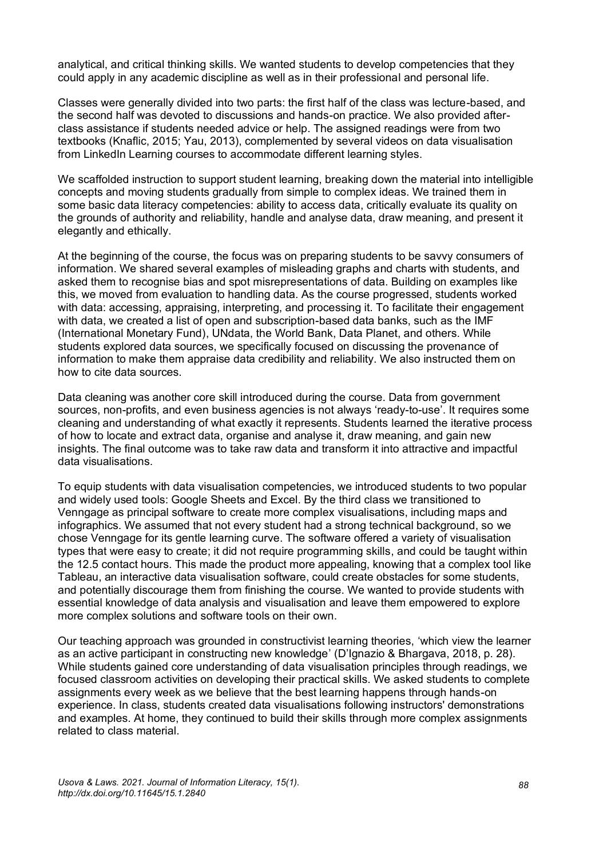analytical, and critical thinking skills. We wanted students to develop competencies that they could apply in any academic discipline as well as in their professional and personal life.

Classes were generally divided into two parts: the first half of the class was lecture-based, and the second half was devoted to discussions and hands-on practice. We also provided afterclass assistance if students needed advice or help. The assigned readings were from two textbooks (Knaflic, 2015; Yau, 2013), complemented by several videos on data visualisation from LinkedIn Learning courses to accommodate different learning styles.

We scaffolded instruction to support student learning, breaking down the material into intelligible concepts and moving students gradually from simple to complex ideas. We trained them in some basic data literacy competencies: ability to access data, critically evaluate its quality on the grounds of authority and reliability, handle and analyse data, draw meaning, and present it elegantly and ethically.

At the beginning of the course, the focus was on preparing students to be savvy consumers of information. We shared several examples of misleading graphs and charts with students, and asked them to recognise bias and spot misrepresentations of data. Building on examples like this, we moved from evaluation to handling data. As the course progressed, students worked with data: accessing, appraising, interpreting, and processing it. To facilitate their engagement with data, we created a list of open and subscription-based data banks, such as the IMF (International Monetary Fund), UNdata, the World Bank, Data Planet, and others. While students explored data sources, we specifically focused on discussing the provenance of information to make them appraise data credibility and reliability. We also instructed them on how to cite data sources.

Data cleaning was another core skill introduced during the course. Data from government sources, non-profits, and even business agencies is not always 'ready-to-use'. It requires some cleaning and understanding of what exactly it represents. Students learned the iterative process of how to locate and extract data, organise and analyse it, draw meaning, and gain new insights. The final outcome was to take raw data and transform it into attractive and impactful data visualisations.

To equip students with data visualisation competencies, we introduced students to two popular and widely used tools: Google Sheets and Excel. By the third class we transitioned to Venngage as principal software to create more complex visualisations, including maps and infographics. We assumed that not every student had a strong technical background, so we chose Venngage for its gentle learning curve. The software offered a variety of visualisation types that were easy to create; it did not require programming skills, and could be taught within the 12.5 contact hours. This made the product more appealing, knowing that a complex tool like Tableau, an interactive data visualisation software, could create obstacles for some students, and potentially discourage them from finishing the course. We wanted to provide students with essential knowledge of data analysis and visualisation and leave them empowered to explore more complex solutions and software tools on their own.

Our teaching approach was grounded in constructivist learning theories, 'which view the learner as an active participant in constructing new knowledge' (D'Ignazio & Bhargava, [2018, p. 28\).](https://www.zotero.org/google-docs/?8IRfMV) While students gained core understanding of data visualisation principles through readings, we focused classroom activities on developing their practical skills. We asked students to complete assignments every week as we believe that the best learning happens through hands-on experience. In class, students created data visualisations following instructors' demonstrations and examples. At home, they continued to build their skills through more complex assignments related to class material.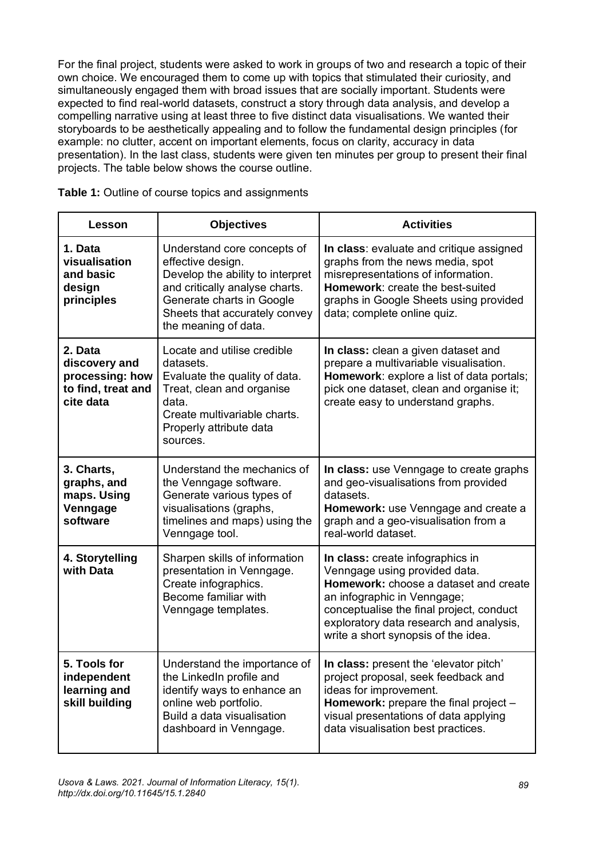For the final project, students were asked to work in groups of two and research a topic of their own choice. We encouraged them to come up with topics that stimulated their curiosity, and simultaneously engaged them with broad issues that are socially important. Students were expected to find real-world datasets, construct a story through data analysis, and develop a compelling narrative using at least three to five distinct data visualisations. We wanted their storyboards to be aesthetically appealing and to follow the fundamental design principles (for example: no clutter, accent on important elements, focus on clarity, accuracy in data presentation). In the last class, students were given ten minutes per group to present their final projects. The table below shows the course outline.

| Lesson                                                                         | <b>Objectives</b>                                                                                                                                                                                            | <b>Activities</b>                                                                                                                                                                                                                                                       |
|--------------------------------------------------------------------------------|--------------------------------------------------------------------------------------------------------------------------------------------------------------------------------------------------------------|-------------------------------------------------------------------------------------------------------------------------------------------------------------------------------------------------------------------------------------------------------------------------|
| 1. Data<br>visualisation<br>and basic<br>design<br>principles                  | Understand core concepts of<br>effective design.<br>Develop the ability to interpret<br>and critically analyse charts.<br>Generate charts in Google<br>Sheets that accurately convey<br>the meaning of data. | In class: evaluate and critique assigned<br>graphs from the news media, spot<br>misrepresentations of information.<br>Homework: create the best-suited<br>graphs in Google Sheets using provided<br>data; complete online quiz.                                         |
| 2. Data<br>discovery and<br>processing: how<br>to find, treat and<br>cite data | Locate and utilise credible<br>datasets.<br>Evaluate the quality of data.<br>Treat, clean and organise<br>data.<br>Create multivariable charts.<br>Properly attribute data<br>sources.                       | In class: clean a given dataset and<br>prepare a multivariable visualisation.<br>Homework: explore a list of data portals;<br>pick one dataset, clean and organise it;<br>create easy to understand graphs.                                                             |
| 3. Charts,<br>graphs, and<br>maps. Using<br>Venngage<br>software               | Understand the mechanics of<br>the Venngage software.<br>Generate various types of<br>visualisations (graphs,<br>timelines and maps) using the<br>Venngage tool.                                             | In class: use Venngage to create graphs<br>and geo-visualisations from provided<br>datasets.<br>Homework: use Venngage and create a<br>graph and a geo-visualisation from a<br>real-world dataset.                                                                      |
| 4. Storytelling<br>with Data                                                   | Sharpen skills of information<br>presentation in Venngage.<br>Create infographics.<br>Become familiar with<br>Venngage templates.                                                                            | In class: create infographics in<br>Venngage using provided data.<br>Homework: choose a dataset and create<br>an infographic in Venngage;<br>conceptualise the final project, conduct<br>exploratory data research and analysis,<br>write a short synopsis of the idea. |
| 5. Tools for<br>independent<br>learning and<br>skill building                  | Understand the importance of<br>the LinkedIn profile and<br>identify ways to enhance an<br>online web portfolio.<br>Build a data visualisation<br>dashboard in Venngage.                                     | In class: present the 'elevator pitch'<br>project proposal, seek feedback and<br>ideas for improvement.<br>Homework: prepare the final project -<br>visual presentations of data applying<br>data visualisation best practices.                                         |

**Table 1:** Outline of course topics and assignments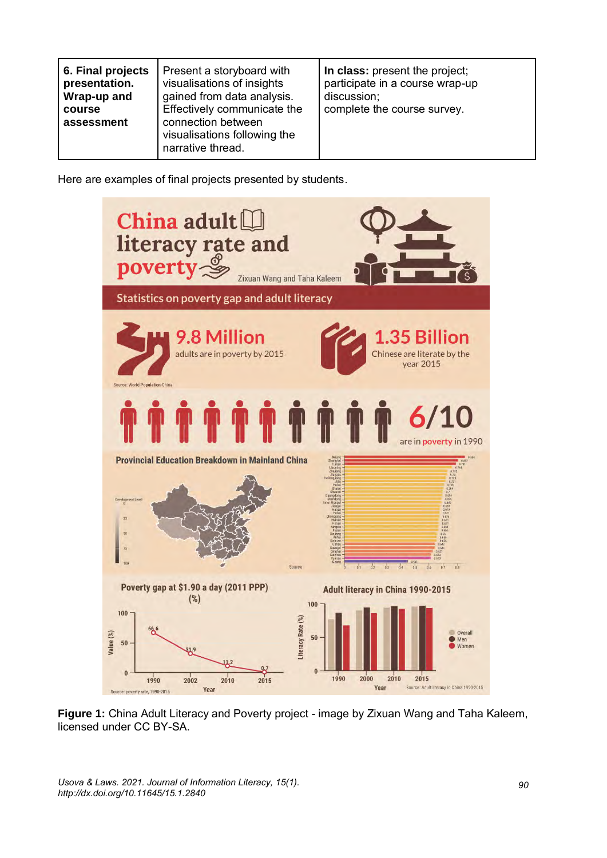| 6. Final projects<br>Present a storyboard with<br>visualisations of insights<br>presentation.<br>gained from data analysis.<br>Wrap-up and<br>Effectively communicate the<br>course<br>connection between<br>assessment<br>visualisations following the<br>narrative thread. | In class: present the project;<br>participate in a course wrap-up<br>discussion;<br>complete the course survey. |
|------------------------------------------------------------------------------------------------------------------------------------------------------------------------------------------------------------------------------------------------------------------------------|-----------------------------------------------------------------------------------------------------------------|
|------------------------------------------------------------------------------------------------------------------------------------------------------------------------------------------------------------------------------------------------------------------------------|-----------------------------------------------------------------------------------------------------------------|

Here are examples of final projects presented by students.



**Figure 1:** China Adult Literacy and Poverty project - image by Zixuan Wang and Taha Kaleem, licensed under CC BY-SA.

*Usova & Laws. 2021. Journal of Information Literacy, 15(1). http://dx.doi.org/10.11645/15.1.2840*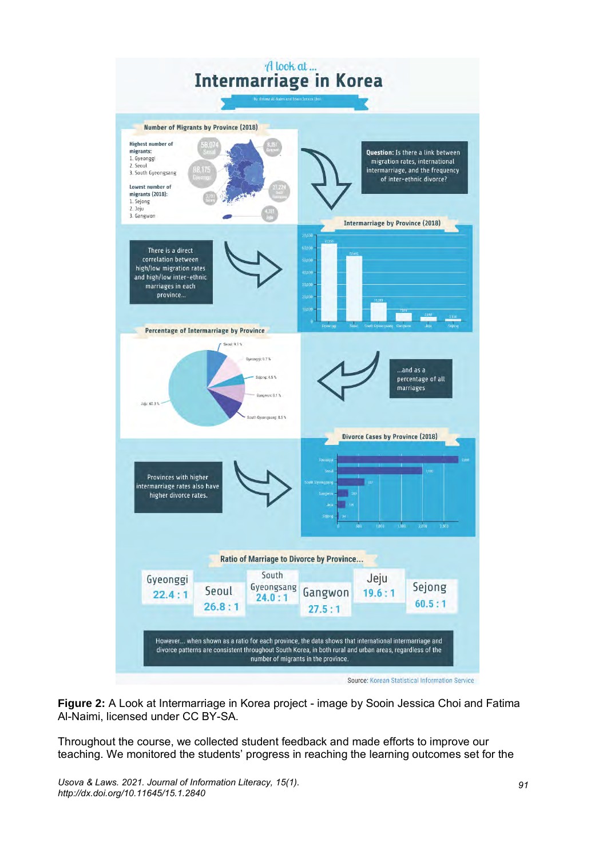

Source: Korean Statistical Information Service

**Figure 2:** A Look at Intermarriage in Korea project - image by Sooin Jessica Choi and Fatima Al-Naimi, licensed under CC BY-SA.

Throughout the course, we collected student feedback and made efforts to improve our teaching. We monitored the students' progress in reaching the learning outcomes set for the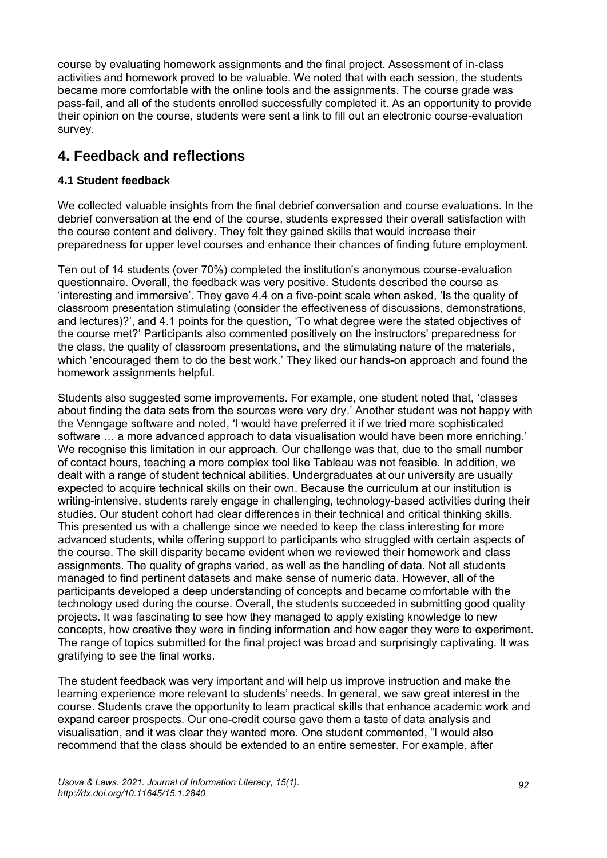course by evaluating homework assignments and the final project. Assessment of in-class activities and homework proved to be valuable. We noted that with each session, the students became more comfortable with the online tools and the assignments. The course grade was pass-fail, and all of the students enrolled successfully completed it. As an opportunity to provide their opinion on the course, students were sent a link to fill out an electronic course-evaluation survey.

# **4. Feedback and reflections**

#### **4.1 Student feedback**

We collected valuable insights from the final debrief conversation and course evaluations. In the debrief conversation at the end of the course, students expressed their overall satisfaction with the course content and delivery. They felt they gained skills that would increase their preparedness for upper level courses and enhance their chances of finding future employment.

Ten out of 14 students (over 70%) completed the institution's anonymous course-evaluation questionnaire. Overall, the feedback was very positive. Students described the course as 'interesting and immersive'. They gave 4.4 on a five-point scale when asked, 'Is the quality of classroom presentation stimulating (consider the effectiveness of discussions, demonstrations, and lectures)?', and 4.1 points for the question, 'To what degree were the stated objectives of the course met?' Participants also commented positively on the instructors' preparedness for the class, the quality of classroom presentations, and the stimulating nature of the materials, which 'encouraged them to do the best work.' They liked our hands-on approach and found the homework assignments helpful.

Students also suggested some improvements. For example, one student noted that, 'classes about finding the data sets from the sources were very dry.' Another student was not happy with the Venngage software and noted, 'I would have preferred it if we tried more sophisticated software … a more advanced approach to data visualisation would have been more enriching.' We recognise this limitation in our approach. Our challenge was that, due to the small number of contact hours, teaching a more complex tool like Tableau was not feasible. In addition, we dealt with a range of student technical abilities. Undergraduates at our university are usually expected to acquire technical skills on their own. Because the curriculum at our institution is writing-intensive, students rarely engage in challenging, technology-based activities during their studies. Our student cohort had clear differences in their technical and critical thinking skills. This presented us with a challenge since we needed to keep the class interesting for more advanced students, while offering support to participants who struggled with certain aspects of the course. The skill disparity became evident when we reviewed their homework and class assignments. The quality of graphs varied, as well as the handling of data. Not all students managed to find pertinent datasets and make sense of numeric data. However, all of the participants developed a deep understanding of concepts and became comfortable with the technology used during the course. Overall, the students succeeded in submitting good quality projects. It was fascinating to see how they managed to apply existing knowledge to new concepts, how creative they were in finding information and how eager they were to experiment. The range of topics submitted for the final project was broad and surprisingly captivating. It was gratifying to see the final works.

The student feedback was very important and will help us improve instruction and make the learning experience more relevant to students' needs. In general, we saw great interest in the course. Students crave the opportunity to learn practical skills that enhance academic work and expand career prospects. Our one-credit course gave them a taste of data analysis and visualisation, and it was clear they wanted more. One student commented, "I would also recommend that the class should be extended to an entire semester. For example, after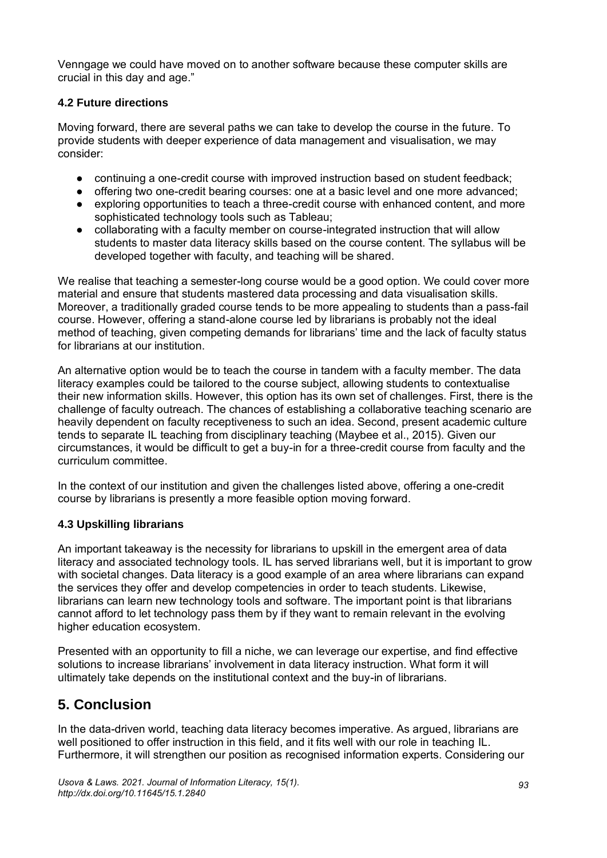Venngage we could have moved on to another software because these computer skills are crucial in this day and age."

#### **4.2 Future directions**

Moving forward, there are several paths we can take to develop the course in the future. To provide students with deeper experience of data management and visualisation, we may consider:

- continuing a one-credit course with improved instruction based on student feedback;
- offering two one-credit bearing courses: one at a basic level and one more advanced:
- exploring opportunities to teach a three-credit course with enhanced content, and more sophisticated technology tools such as Tableau;
- collaborating with a faculty member on course-integrated instruction that will allow students to master data literacy skills based on the course content. The syllabus will be developed together with faculty, and teaching will be shared.

We realise that teaching a semester-long course would be a good option. We could cover more material and ensure that students mastered data processing and data visualisation skills. Moreover, a traditionally graded course tends to be more appealing to students than a pass-fail course. However, offering a stand-alone course led by librarians is probably not the ideal method of teaching, given competing demands for librarians' time and the lack of faculty status for librarians at our institution.

An alternative option would be to teach the course in tandem with a faculty member. The data literacy examples could be tailored to the course subject, allowing students to contextualise their new information skills. However, this option has its own set of challenges. First, there is the challenge of faculty outreach. The chances of establishing a collaborative teaching scenario are heavily dependent on faculty receptiveness to such an idea. Second, present academic culture tends to separate IL teaching from disciplinary teaching (Maybee et al., 2015). Given our circumstances, it would be difficult to get a buy-in for a three-credit course from faculty and the curriculum committee.

In the context of our institution and given the challenges listed above, offering a one-credit course by librarians is presently a more feasible option moving forward.

#### **4.3 Upskilling librarians**

An important takeaway is the necessity for librarians to upskill in the emergent area of data literacy and associated technology tools. IL has served librarians well, but it is important to grow with societal changes. Data literacy is a good example of an area where librarians can expand the services they offer and develop competencies in order to teach students. Likewise, librarians can learn new technology tools and software. The important point is that librarians cannot afford to let technology pass them by if they want to remain relevant in the evolving higher education ecosystem.

Presented with an opportunity to fill a niche, we can leverage our expertise, and find effective solutions to increase librarians' involvement in data literacy instruction. What form it will ultimately take depends on the institutional context and the buy-in of librarians.

### **5. Conclusion**

In the data-driven world, teaching data literacy becomes imperative. As argued, librarians are well positioned to offer instruction in this field, and it fits well with our role in teaching IL. Furthermore, it will strengthen our position as recognised information experts. Considering our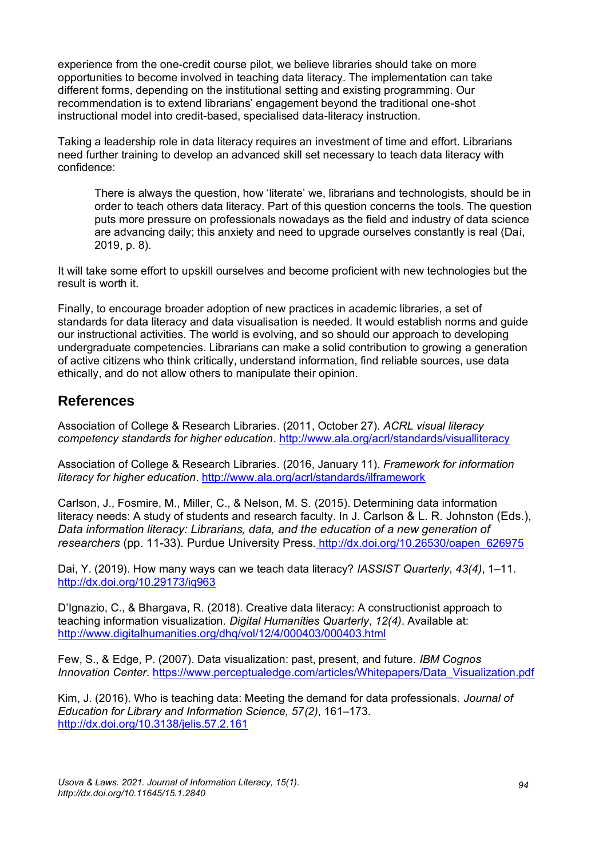experience from the one-credit course pilot, we believe libraries should take on more opportunities to become involved in teaching data literacy. The implementation can take different forms, depending on the institutional setting and existing programming. Our recommendation is to extend librarians' engagement beyond the traditional one-shot instructional model into credit-based, specialised data-literacy instruction.

Taking a leadership role in data literacy requires an investment of time and effort. Librarians need further training to develop an advanced skill set necessary to teach data literacy with confidence:

There is always the question, how 'literate' we, librarians and technologists, should be in order to teach others data literacy. Part of this question concerns the tools. The question puts more pressure on professionals nowadays as the field and industry of data science are advancing daily; this anxiety and need to upgrade ourselves constantly is real (Dai, 2019, p. 8).

It will take some effort to upskill ourselves and become proficient with new technologies but the result is worth it.

Finally, to encourage broader adoption of new practices in academic libraries, a set of standards for data literacy and data visualisation is needed. It would establish norms and guide our instructional activities. The world is evolving, and so should our approach to developing undergraduate competencies. Librarians can make a solid contribution to growing a generation of active citizens who think critically, understand information, find reliable sources, use data ethically, and do not allow others to manipulate their opinion.

#### **References**

Association of College & Research Libraries. (2011, October 27). *ACRL visual literacy competency standards for higher education*.<http://www.ala.org/acrl/standards/visualliteracy>

Association of College & Research Libraries. (2016, January 11). *Framework for information literacy for higher education*.<http://www.ala.org/acrl/standards/ilframework>

Carlson, J., Fosmire, M., Miller, C., & Nelson, M. S. (2015). Determining data information literacy needs: A study of students and research faculty. In J. Carlson & L. R. Johnston (Eds.), *Data information literacy: Librarians, data, and the education of a new generation of researchers* (pp. 11-33). Purdue University Press. [http://dx.doi.org/10.26530/oapen\\_626975](http://dx.doi.org/10.26530/oapen_626975)

Dai, Y. (2019). How many ways can we teach data literacy? *IASSIST Quarterly*, *43(4)*, 1–11[.](https://doi.org/10.29173/iq963) [http://dx.doi.org/10.29173/iq963](https://doi.org/10.29173/iq963) 

D'Ignazio, C., & Bhargava, R. (2018). Creative data literacy: A constructionist approach to teaching information visualization. *Digital Humanities Quarterly*, *12(4)*. Available at: <http://www.digitalhumanities.org/dhq/vol/12/4/000403/000403.html>

Few, S., & Edge, P. (2007). Data visualization: past, present, and future. *IBM Cognos Innovation Center*. [https://www.perceptualedge.com/articles/Whitepapers/Data\\_Visualization.pdf](https://www.perceptualedge.com/articles/Whitepapers/Data_Visualization.pdf)

Kim, J. (2016). Who is teaching data: Meeting the demand for data professionals. *Journal of Education for Library and Information Science, 57(2)*, 161–173*[.](https://doi.org/10.3138/jelis.57.2.161)* [http://dx.doi.org/10.3138/jelis.57.2.161](https://doi.org/10.3138/jelis.57.2.161)